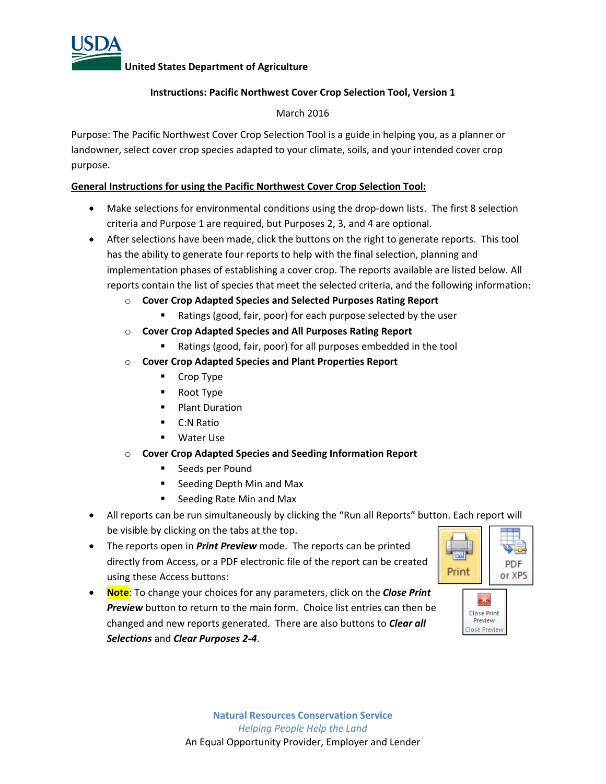

# **Instructions: Pacific Northwest Cover Crop Selection Tool, Version 1**

## March 2016

Purpose: The Pacific Northwest Cover Crop Selection Tool is a guide in helping you, as a planner or landowner, select cover crop species adapted to your climate, soils, and your intended cover crop purpose.

### **General Instructions for using the Pacific Northwest Cover Crop Selection Tool:**

- Make selections for environmental conditions using the drop-down lists. The first 8 selection criteria and Purpose 1 are required, but Purposes 2, 3, and 4 are optional.
- After selections have been made, click the buttons on the right to generate reports. This tool has the ability to generate four reports to help with the final selection, planning and implementation phases of establishing a cover crop. The reports available are listed below. All reports contain the list of species that meet the selected criteria, and the following information:
	- o **Cover Crop Adapted Species and Selected Purposes Rating Report**
		- Ratings (good, fair, poor) for each purpose selected by the user
	- o **Cover Crop Adapted Species and All Purposes Rating Report**
		- Ratings (good, fair, poor) for all purposes embedded in the tool
	- o **Cover Crop Adapted Species and Plant Properties Report**
		- **•** Crop Type
		- Root Type
		- **Plant Duration**
		- C:N Ratio
		- Water Use
	- o **Cover Crop Adapted Species and Seeding Information Report**
		- **Seeds per Pound**
		- Seeding Depth Min and Max
		- Seeding Rate Min and Max
- All reports can be run simultaneously by clicking the "Run all Reports" button. Each report will be visible by clicking on the tabs at the top.
- The reports open in *Print Preview* mode. The reports can be printed directly from Access, or a PDF electronic file of the report can be created using these Access buttons:
- **Note**: To change your choices for any parameters, click on the *Close Print Preview* button to return to the main form. Choice list entries can then be changed and new reports generated. There are also buttons to *Clear all Selections* and *Clear Purposes 2‐4*.



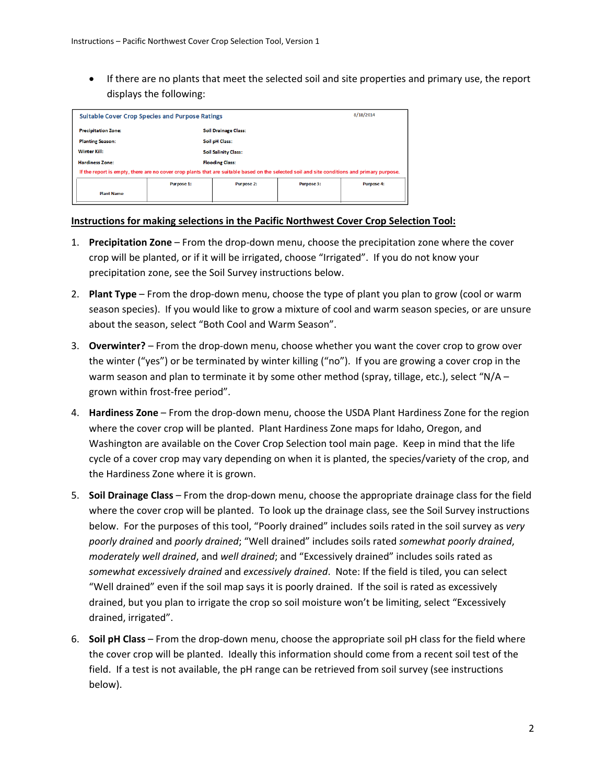If there are no plants that meet the selected soil and site properties and primary use, the report displays the following:

| <b>Suitable Cover Crop Species and Purpose Ratings</b>                                                                                       | 8/18/2014 |                             |                   |                   |  |  |  |
|----------------------------------------------------------------------------------------------------------------------------------------------|-----------|-----------------------------|-------------------|-------------------|--|--|--|
| <b>Precipitation Zone:</b>                                                                                                                   |           | <b>Soil Drainage Class:</b> |                   |                   |  |  |  |
| <b>Planting Season:</b>                                                                                                                      |           | Soil pH Class:              |                   |                   |  |  |  |
| Winter Kill:                                                                                                                                 |           | <b>Soil Salinity Class:</b> |                   |                   |  |  |  |
| <b>Hardiness Zone:</b>                                                                                                                       |           | <b>Flooding Class:</b>      |                   |                   |  |  |  |
| If the report is empty, there are no cover crop plants that are suitable based on the selected soil and site conditions and primary purpose. |           |                             |                   |                   |  |  |  |
| Purpose 1:                                                                                                                                   |           | Purpose 2:                  | <b>Purpose 3:</b> | <b>Purpose 4:</b> |  |  |  |
| <b>Plant Name</b>                                                                                                                            |           |                             |                   |                   |  |  |  |

#### **Instructions for making selections in the Pacific Northwest Cover Crop Selection Tool:**

- 1. **Precipitation Zone** From the drop‐down menu, choose the precipitation zone where the cover crop will be planted, or if it will be irrigated, choose "Irrigated". If you do not know your precipitation zone, see the Soil Survey instructions below.
- 2. **Plant Type** From the drop‐down menu, choose the type of plant you plan to grow (cool or warm season species). If you would like to grow a mixture of cool and warm season species, or are unsure about the season, select "Both Cool and Warm Season".
- 3. **Overwinter?** From the drop‐down menu, choose whether you want the cover crop to grow over the winter ("yes") or be terminated by winter killing ("no"). If you are growing a cover crop in the warm season and plan to terminate it by some other method (spray, tillage, etc.), select "N/A – grown within frost‐free period".
- 4. **Hardiness Zone** From the drop‐down menu, choose the USDA Plant Hardiness Zone for the region where the cover crop will be planted. Plant Hardiness Zone maps for Idaho, Oregon, and Washington are available on the Cover Crop Selection tool main page. Keep in mind that the life cycle of a cover crop may vary depending on when it is planted, the species/variety of the crop, and the Hardiness Zone where it is grown.
- 5. **Soil Drainage Class** From the drop‐down menu, choose the appropriate drainage class for the field where the cover crop will be planted. To look up the drainage class, see the Soil Survey instructions below. For the purposes of this tool, "Poorly drained" includes soils rated in the soil survey as *very poorly drained* and *poorly drained*; "Well drained" includes soils rated *somewhat poorly drained*, *moderately well drained*, and *well drained*; and "Excessively drained" includes soils rated as *somewhat excessively drained* and *excessively drained*. Note: If the field is tiled, you can select "Well drained" even if the soil map says it is poorly drained. If the soil is rated as excessively drained, but you plan to irrigate the crop so soil moisture won't be limiting, select "Excessively drained, irrigated".
- 6. **Soil pH Class** From the drop‐down menu, choose the appropriate soil pH class for the field where the cover crop will be planted. Ideally this information should come from a recent soil test of the field. If a test is not available, the pH range can be retrieved from soil survey (see instructions below).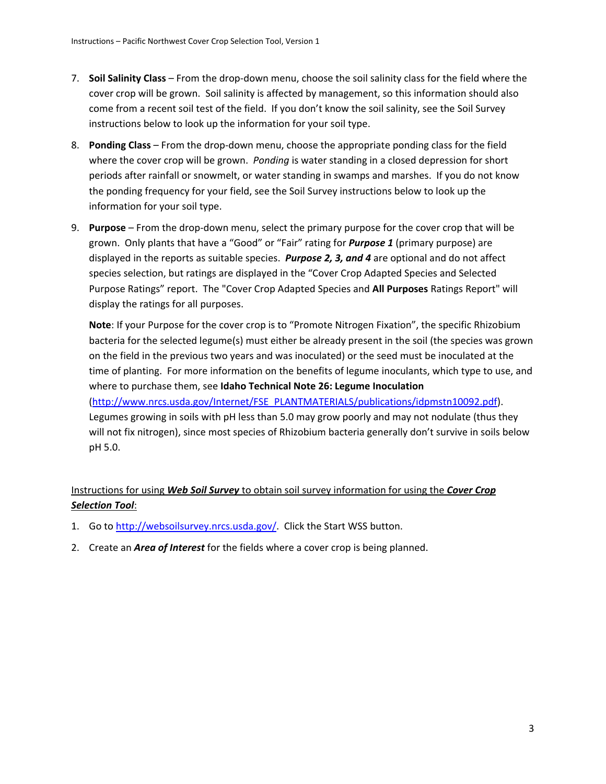- 7. **Soil Salinity Class** From the drop‐down menu, choose the soil salinity class for the field where the cover crop will be grown. Soil salinity is affected by management, so this information should also come from a recent soil test of the field. If you don't know the soil salinity, see the Soil Survey instructions below to look up the information for your soil type.
- 8. **Ponding Class** From the drop‐down menu, choose the appropriate ponding class for the field where the cover crop will be grown. *Ponding* is water standing in a closed depression for short periods after rainfall or snowmelt, or water standing in swamps and marshes. If you do not know the ponding frequency for your field, see the Soil Survey instructions below to look up the information for your soil type.
- 9. **Purpose** From the drop‐down menu, select the primary purpose for the cover crop that will be grown. Only plants that have a "Good" or "Fair" rating for *Purpose 1* (primary purpose) are displayed in the reports as suitable species. *Purpose 2, 3, and 4* are optional and do not affect species selection, but ratings are displayed in the "Cover Crop Adapted Species and Selected Purpose Ratings" report. The "Cover Crop Adapted Species and **All Purposes** Ratings Report" will display the ratings for all purposes.

**Note**: If your Purpose for the cover crop is to "Promote Nitrogen Fixation", the specific Rhizobium bacteria for the selected legume(s) must either be already present in the soil (the species was grown on the field in the previous two years and was inoculated) or the seed must be inoculated at the time of planting. For more information on the benefits of legume inoculants, which type to use, and where to purchase them, see **Idaho Technical Note 26: Legume Inoculation** (http://www.nrcs.usda.gov/Internet/FSE\_PLANTMATERIALS/publications/idpmstn10092.pdf). Legumes growing in soils with pH less than 5.0 may grow poorly and may not nodulate (thus they

will not fix nitrogen), since most species of Rhizobium bacteria generally don't survive in soils below pH 5.0.

# Instructions for using *Web Soil Survey* to obtain soil survey information for using the *Cover Crop Selection Tool*:

- 1. Go to http://websoilsurvey.nrcs.usda.gov/. Click the Start WSS button.
- 2. Create an *Area of Interest* for the fields where a cover crop is being planned.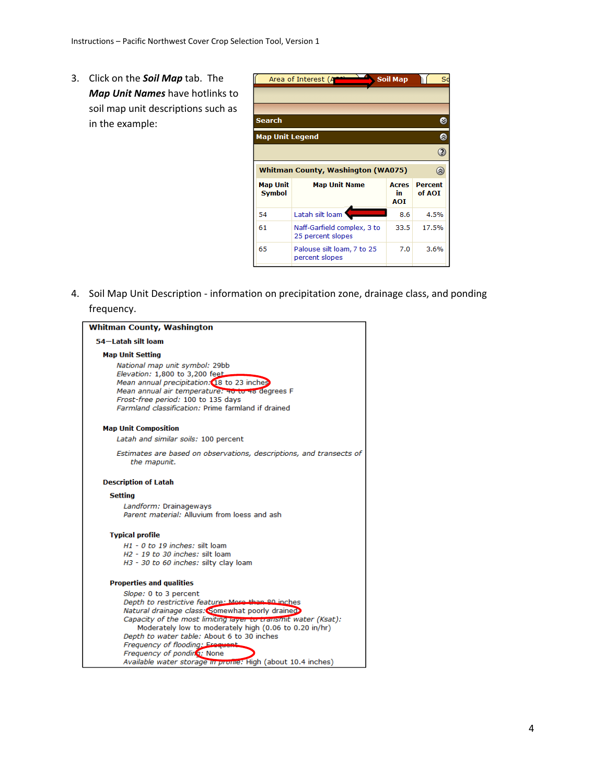3. Click on the *Soil Map* tab. The *Map Unit Names* have hotlinks to soil map unit descriptions such as in the example:



4. Soil Map Unit Description ‐ information on precipitation zone, drainage class, and ponding frequency.

| <b>Whitman County, Washington</b>                                                                                                                                                                                                                             |  |  |  |  |  |  |
|---------------------------------------------------------------------------------------------------------------------------------------------------------------------------------------------------------------------------------------------------------------|--|--|--|--|--|--|
| 54-Latah silt loam                                                                                                                                                                                                                                            |  |  |  |  |  |  |
| <b>Map Unit Setting</b>                                                                                                                                                                                                                                       |  |  |  |  |  |  |
| National map unit symbol: 29bb<br>Elevation: 1,800 to 3,200 feet<br>Mean annual precipitation: 18 to 23 inches<br>Mean annual air temperature: 40 to 46 degrees F<br>Frost-free period: 100 to 135 days<br>Farmland classification: Prime farmland if drained |  |  |  |  |  |  |
| <b>Map Unit Composition</b>                                                                                                                                                                                                                                   |  |  |  |  |  |  |
| Latah and similar soils: 100 percent                                                                                                                                                                                                                          |  |  |  |  |  |  |
| Estimates are based on observations, descriptions, and transects of<br>the mapunit.                                                                                                                                                                           |  |  |  |  |  |  |
| <b>Description of Latah</b>                                                                                                                                                                                                                                   |  |  |  |  |  |  |
| <b>Setting</b>                                                                                                                                                                                                                                                |  |  |  |  |  |  |
| Landform: Drainageways<br>Parent material: Alluvium from loess and ash                                                                                                                                                                                        |  |  |  |  |  |  |
| <b>Typical profile</b>                                                                                                                                                                                                                                        |  |  |  |  |  |  |
| $H1 - 0$ to 19 inches: silt loam                                                                                                                                                                                                                              |  |  |  |  |  |  |
| H <sub>2</sub> - 19 to 30 inches: silt loam                                                                                                                                                                                                                   |  |  |  |  |  |  |
| H3 - 30 to 60 inches: silty clay loam                                                                                                                                                                                                                         |  |  |  |  |  |  |
| <b>Properties and qualities</b>                                                                                                                                                                                                                               |  |  |  |  |  |  |
| Slope: 0 to 3 percent                                                                                                                                                                                                                                         |  |  |  |  |  |  |
| Depth to restrictive feature: More than 80 inches<br>Natural drainage class: Somewhat poorly drained                                                                                                                                                          |  |  |  |  |  |  |
| Capacity of the most limiting layer to transmit water (Ksat):                                                                                                                                                                                                 |  |  |  |  |  |  |
| Moderately low to moderately high (0.06 to 0.20 in/hr)                                                                                                                                                                                                        |  |  |  |  |  |  |
| Depth to water table: About 6 to 30 inches<br>Frequency of flooding: Erequent                                                                                                                                                                                 |  |  |  |  |  |  |
| Frequency of ponding: None                                                                                                                                                                                                                                    |  |  |  |  |  |  |
| Available water storage in prome: High (about 10.4 inches)                                                                                                                                                                                                    |  |  |  |  |  |  |